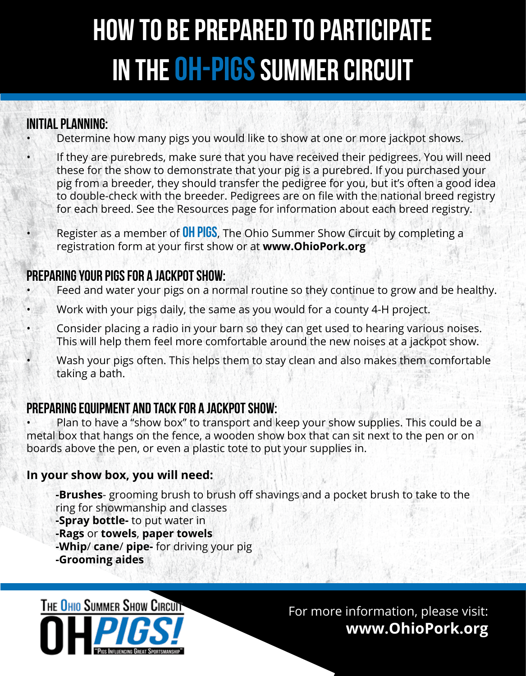## How to be prepared to participate IN THE OH-PIGS SUMMER CIRCUIT

#### Initial planning:

- Determine how many pigs you would like to show at one or more jackpot shows.
- If they are purebreds, make sure that you have received their pedigrees. You will need these for the show to demonstrate that your pig is a purebred. If you purchased your pig from a breeder, they should transfer the pedigree for you, but it's often a good idea to double-check with the breeder. Pedigrees are on file with the national breed registry for each breed. See the Resources page for information about each breed registry.
- Register as a member of **OH PIGS**, The Ohio Summer Show Circuit by completing a registration form at your first show or at **www.OhioPork.org**

#### Preparing your pigs for a jackpot show:

- Feed and water your pigs on a normal routine so they continue to grow and be healthy.
- Work with your pigs daily, the same as you would for a county 4-H project.
- Consider placing a radio in your barn so they can get used to hearing various noises. This will help them feel more comfortable around the new noises at a jackpot show.
- Wash your pigs often. This helps them to stay clean and also makes them comfortable taking a bath.

#### Preparing equipment and tack for a jackpot show:

• Plan to have a "show box" to transport and keep your show supplies. This could be a metal box that hangs on the fence, a wooden show box that can sit next to the pen or on boards above the pen, or even a plastic tote to put your supplies in.

#### **In your show box, you will need:**

- **-Brushes** grooming brush to brush off shavings and a pocket brush to take to the ring for showmanship and classes
- **-Spray bottle-** to put water in
- **-Rags** or **towels**, **paper towels**
- **-Whip**/ **cane**/ **pipe-** for driving your pig
- **-Grooming aides**

THE OHIO SUMMER SHOW CIRCUIT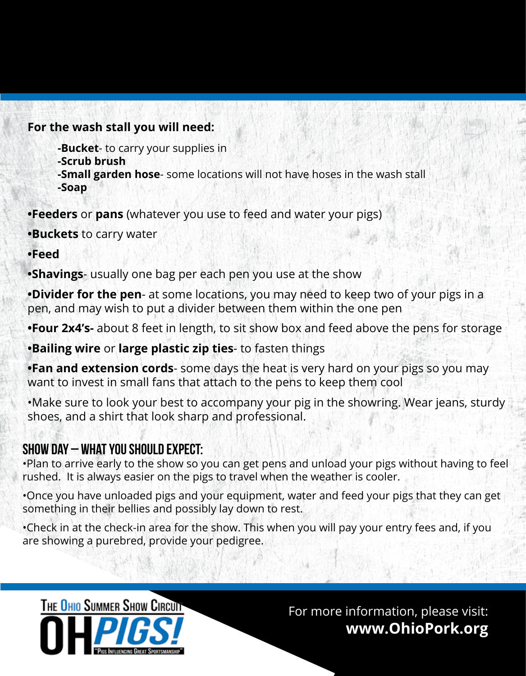#### **For the wash stall you will need:**

- **-Bucket** to carry your supplies in
- **-Scrub brush**
- **-Small garden hose** some locations will not have hoses in the wash stall **-Soap**

**•Feeders** or **pans** (whatever you use to feed and water your pigs)

**•Buckets** to carry water

**•Feed** 

**•Shavings**- usually one bag per each pen you use at the show

**•Divider for the pen**- at some locations, you may need to keep two of your pigs in a pen, and may wish to put a divider between them within the one pen

**•Four 2x4's-** about 8 feet in length, to sit show box and feed above the pens for storage

**•Bailing wire** or **large plastic zip ties**- to fasten things

**•Fan and extension cords**- some days the heat is very hard on your pigs so you may want to invest in small fans that attach to the pens to keep them cool

•Make sure to look your best to accompany your pig in the showring. Wear jeans, sturdy shoes, and a shirt that look sharp and professional.

#### Show day – What you should expect:

•Plan to arrive early to the show so you can get pens and unload your pigs without having to feel rushed. It is always easier on the pigs to travel when the weather is cooler.

•Once you have unloaded pigs and your equipment, water and feed your pigs that they can get something in their bellies and possibly lay down to rest.

•Check in at the check-in area for the show. This when you will pay your entry fees and, if you are showing a purebred, provide your pedigree.

THE OHIO SUMMER SHOW CIRCUIT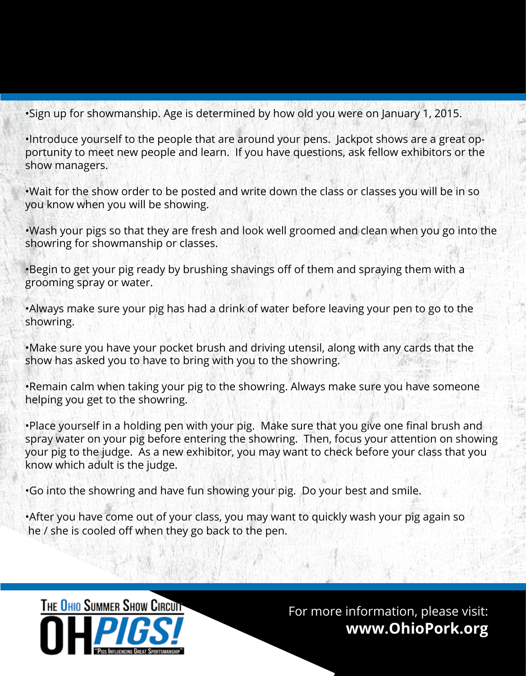•Sign up for showmanship. Age is determined by how old you were on January 1, 2015.

•Introduce yourself to the people that are around your pens. Jackpot shows are a great opportunity to meet new people and learn. If you have questions, ask fellow exhibitors or the show managers.

•Wait for the show order to be posted and write down the class or classes you will be in so you know when you will be showing.

•Wash your pigs so that they are fresh and look well groomed and clean when you go into the showring for showmanship or classes.

•Begin to get your pig ready by brushing shavings off of them and spraying them with a grooming spray or water.

•Always make sure your pig has had a drink of water before leaving your pen to go to the showring.

•Make sure you have your pocket brush and driving utensil, along with any cards that the show has asked you to have to bring with you to the showring.

•Remain calm when taking your pig to the showring. Always make sure you have someone helping you get to the showring.

•Place yourself in a holding pen with your pig. Make sure that you give one final brush and spray water on your pig before entering the showring. Then, focus your attention on showing your pig to the judge. As a new exhibitor, you may want to check before your class that you know which adult is the judge.

•Go into the showring and have fun showing your pig. Do your best and smile.

•After you have come out of your class, you may want to quickly wash your pig again so he / she is cooled off when they go back to the pen.

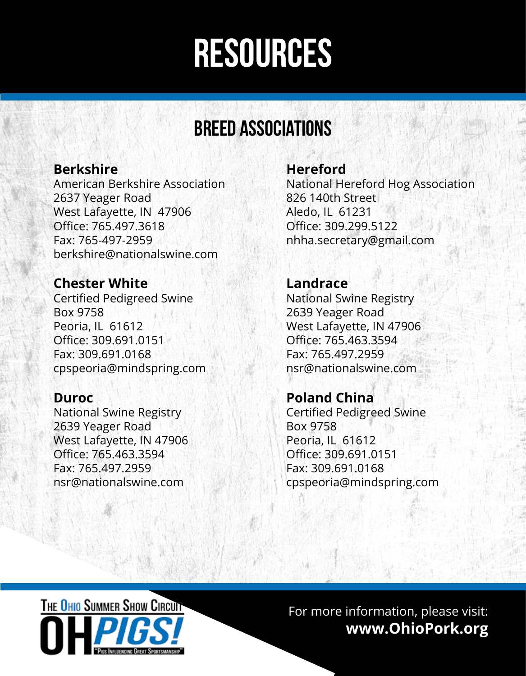## resources

### breed associations

#### **Berkshire**

American Berkshire Association 2637 Yeager Road West Lafayette, IN 47906 Office: 765.497.3618 Fax: 765-497-2959 berkshire@nationalswine.com

#### **Chester White**

Certified Pedigreed Swine Box 9758 Peoria, IL 61612 Office: 309.691.0151 Fax: 309.691.0168 cpspeoria@mindspring.com

#### **Duroc**

National Swine Registry 2639 Yeager Road West Lafayette, IN 47906 Office: 765.463.3594 Fax: 765.497.2959 nsr@nationalswine.com

#### **Hereford**

National Hereford Hog Association 826 140th Street Aledo, IL 61231 Office: 309.299.5122 nhha.secretary@gmail.com

#### **Landrace**

National Swine Registry 2639 Yeager Road West Lafayette, IN 47906 Office: 765.463.3594 Fax: 765.497.2959 nsr@nationalswine.com

#### **Poland China**

Certified Pedigreed Swine Box 9758 Peoria, IL 61612 Office: 309.691.0151 Fax: 309.691.0168 cpspeoria@mindspring.com